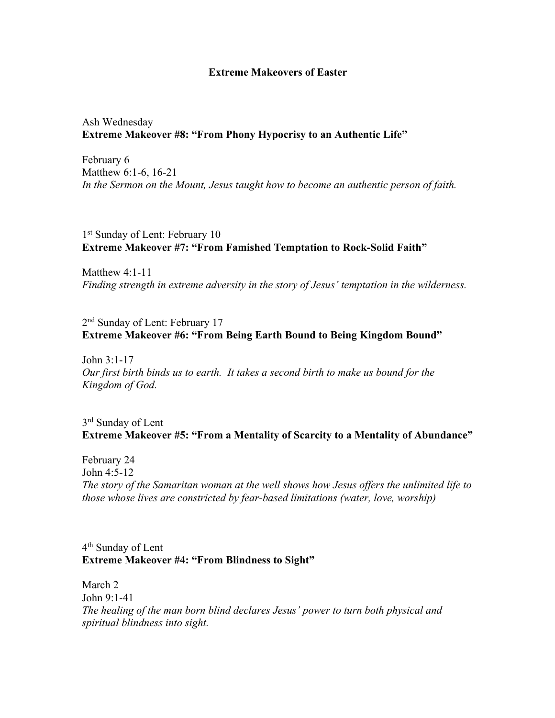#### **Extreme Makeovers of Easter**

# Ash Wednesday **Extreme Makeover #8: "From Phony Hypocrisy to an Authentic Life"**

February 6 Matthew 6:1-6, 16-21 *In the Sermon on the Mount, Jesus taught how to become an authentic person of faith.*

1<sup>st</sup> Sunday of Lent: February 10 **Extreme Makeover #7: "From Famished Temptation to Rock-Solid Faith"**

Matthew 4:1-11 *Finding strength in extreme adversity in the story of Jesus' temptation in the wilderness.*

# 2nd Sunday of Lent: February 17 **Extreme Makeover #6: "From Being Earth Bound to Being Kingdom Bound"**

John 3:1-17 *Our first birth binds us to earth. It takes a second birth to make us bound for the Kingdom of God.*

### 3rd Sunday of Lent **Extreme Makeover #5: "From a Mentality of Scarcity to a Mentality of Abundance"**

February 24 John 4:5-12 *The story of the Samaritan woman at the well shows how Jesus offers the unlimited life to those whose lives are constricted by fear-based limitations (water, love, worship)*

#### 4th Sunday of Lent **Extreme Makeover #4: "From Blindness to Sight"**

March 2 John 9:1-41 *The healing of the man born blind declares Jesus' power to turn both physical and spiritual blindness into sight.*